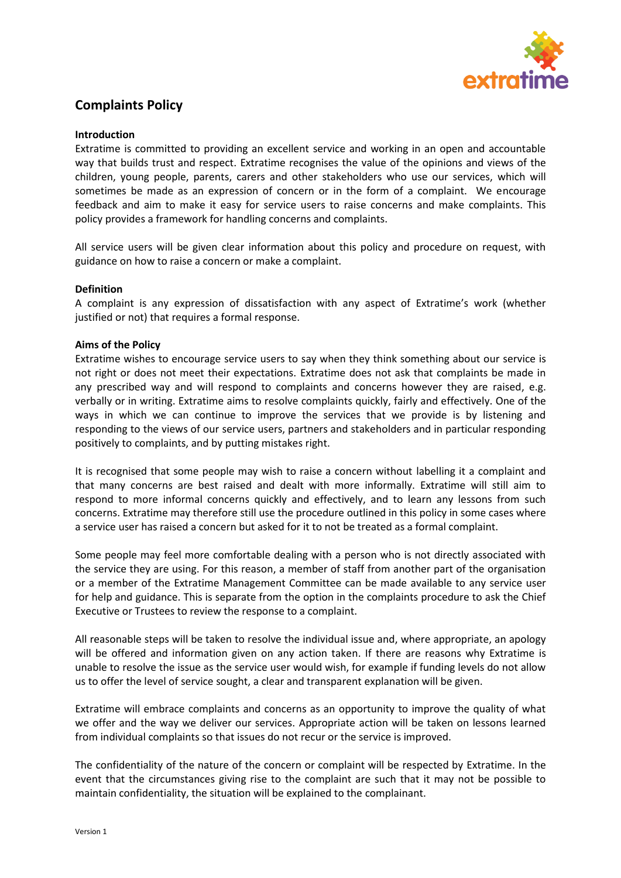

## **Complaints Policy**

### **Introduction**

Extratime is committed to providing an excellent service and working in an open and accountable way that builds trust and respect. Extratime recognises the value of the opinions and views of the children, young people, parents, carers and other stakeholders who use our services, which will sometimes be made as an expression of concern or in the form of a complaint. We encourage feedback and aim to make it easy for service users to raise concerns and make complaints. This policy provides a framework for handling concerns and complaints.

All service users will be given clear information about this policy and procedure on request, with guidance on how to raise a concern or make a complaint.

## **Definition**

A complaint is any expression of dissatisfaction with any aspect of Extratime's work (whether justified or not) that requires a formal response.

## **Aims of the Policy**

Extratime wishes to encourage service users to say when they think something about our service is not right or does not meet their expectations. Extratime does not ask that complaints be made in any prescribed way and will respond to complaints and concerns however they are raised, e.g. verbally or in writing. Extratime aims to resolve complaints quickly, fairly and effectively. One of the ways in which we can continue to improve the services that we provide is by listening and responding to the views of our service users, partners and stakeholders and in particular responding positively to complaints, and by putting mistakes right.

It is recognised that some people may wish to raise a concern without labelling it a complaint and that many concerns are best raised and dealt with more informally. Extratime will still aim to respond to more informal concerns quickly and effectively, and to learn any lessons from such concerns. Extratime may therefore still use the procedure outlined in this policy in some cases where a service user has raised a concern but asked for it to not be treated as a formal complaint.

Some people may feel more comfortable dealing with a person who is not directly associated with the service they are using. For this reason, a member of staff from another part of the organisation or a member of the Extratime Management Committee can be made available to any service user for help and guidance. This is separate from the option in the complaints procedure to ask the Chief Executive or Trustees to review the response to a complaint.

All reasonable steps will be taken to resolve the individual issue and, where appropriate, an apology will be offered and information given on any action taken. If there are reasons why Extratime is unable to resolve the issue as the service user would wish, for example if funding levels do not allow us to offer the level of service sought, a clear and transparent explanation will be given.

Extratime will embrace complaints and concerns as an opportunity to improve the quality of what we offer and the way we deliver our services. Appropriate action will be taken on lessons learned from individual complaints so that issues do not recur or the service is improved.

The confidentiality of the nature of the concern or complaint will be respected by Extratime. In the event that the circumstances giving rise to the complaint are such that it may not be possible to maintain confidentiality, the situation will be explained to the complainant.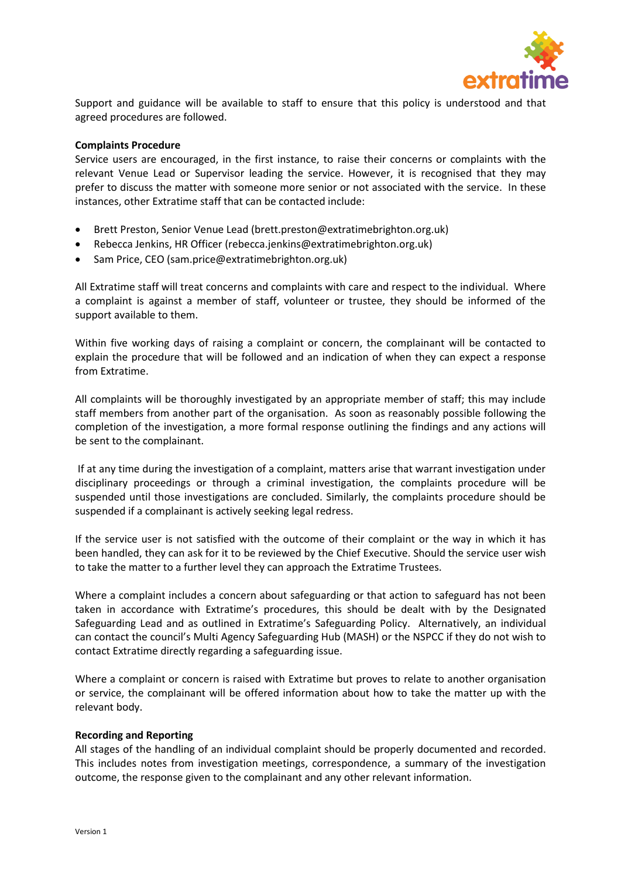

Support and guidance will be available to staff to ensure that this policy is understood and that agreed procedures are followed.

#### **Complaints Procedure**

Service users are encouraged, in the first instance, to raise their concerns or complaints with the relevant Venue Lead or Supervisor leading the service. However, it is recognised that they may prefer to discuss the matter with someone more senior or not associated with the service. In these instances, other Extratime staff that can be contacted include:

- Brett Preston, Senior Venue Lead (brett.preston@extratimebrighton.org.uk)
- Rebecca Jenkins, HR Officer (rebecca.jenkins@extratimebrighton.org.uk)
- Sam Price, CEO (sam.price@extratimebrighton.org.uk)

All Extratime staff will treat concerns and complaints with care and respect to the individual. Where a complaint is against a member of staff, volunteer or trustee, they should be informed of the support available to them.

Within five working days of raising a complaint or concern, the complainant will be contacted to explain the procedure that will be followed and an indication of when they can expect a response from Extratime.

All complaints will be thoroughly investigated by an appropriate member of staff; this may include staff members from another part of the organisation. As soon as reasonably possible following the completion of the investigation, a more formal response outlining the findings and any actions will be sent to the complainant.

If at any time during the investigation of a complaint, matters arise that warrant investigation under disciplinary proceedings or through a criminal investigation, the complaints procedure will be suspended until those investigations are concluded. Similarly, the complaints procedure should be suspended if a complainant is actively seeking legal redress.

If the service user is not satisfied with the outcome of their complaint or the way in which it has been handled, they can ask for it to be reviewed by the Chief Executive. Should the service user wish to take the matter to a further level they can approach the Extratime Trustees.

Where a complaint includes a concern about safeguarding or that action to safeguard has not been taken in accordance with Extratime's procedures, this should be dealt with by the Designated Safeguarding Lead and as outlined in Extratime's Safeguarding Policy. Alternatively, an individual can contact the council's Multi Agency Safeguarding Hub (MASH) or the NSPCC if they do not wish to contact Extratime directly regarding a safeguarding issue.

Where a complaint or concern is raised with Extratime but proves to relate to another organisation or service, the complainant will be offered information about how to take the matter up with the relevant body.

#### **Recording and Reporting**

All stages of the handling of an individual complaint should be properly documented and recorded. This includes notes from investigation meetings, correspondence, a summary of the investigation outcome, the response given to the complainant and any other relevant information.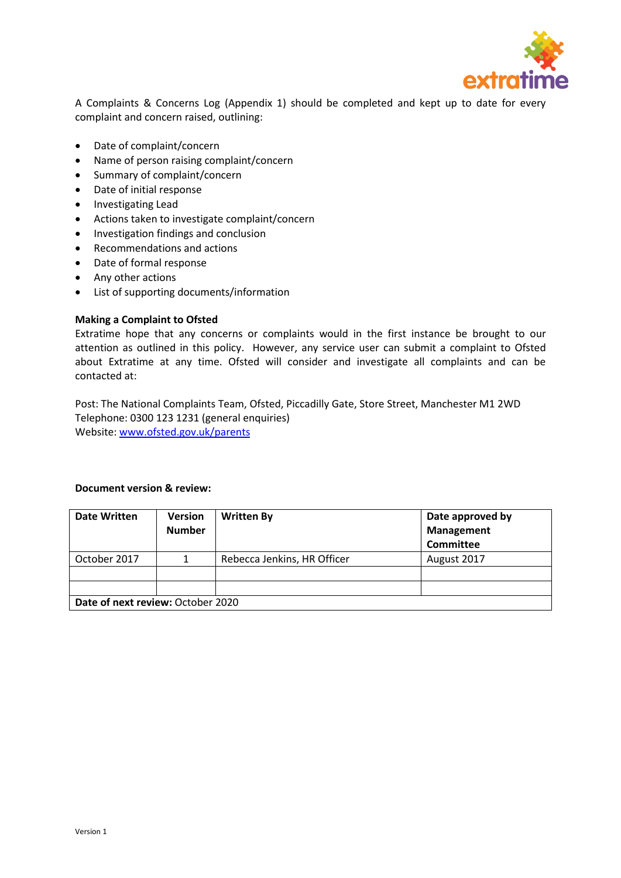

A Complaints & Concerns Log (Appendix 1) should be completed and kept up to date for every complaint and concern raised, outlining:

- Date of complaint/concern
- Name of person raising complaint/concern
- Summary of complaint/concern
- Date of initial response
- Investigating Lead
- Actions taken to investigate complaint/concern
- Investigation findings and conclusion
- Recommendations and actions
- Date of formal response
- Any other actions
- List of supporting documents/information

### **Making a Complaint to Ofsted**

Extratime hope that any concerns or complaints would in the first instance be brought to our attention as outlined in this policy. However, any service user can submit a complaint to Ofsted about Extratime at any time. Ofsted will consider and investigate all complaints and can be contacted at:

Post: The National Complaints Team, Ofsted, Piccadilly Gate, Store Street, Manchester M1 2WD Telephone: 0300 123 1231 (general enquiries) Website[: www.ofsted.gov.uk/parents](http://www.ofsted.gov.uk/parents)

#### **Document version & review:**

| <b>Date Written</b>               | <b>Version</b><br><b>Number</b> | <b>Written By</b>           | Date approved by<br><b>Management</b><br>Committee |  |
|-----------------------------------|---------------------------------|-----------------------------|----------------------------------------------------|--|
| October 2017                      |                                 | Rebecca Jenkins, HR Officer | August 2017                                        |  |
|                                   |                                 |                             |                                                    |  |
|                                   |                                 |                             |                                                    |  |
| Date of next review: October 2020 |                                 |                             |                                                    |  |